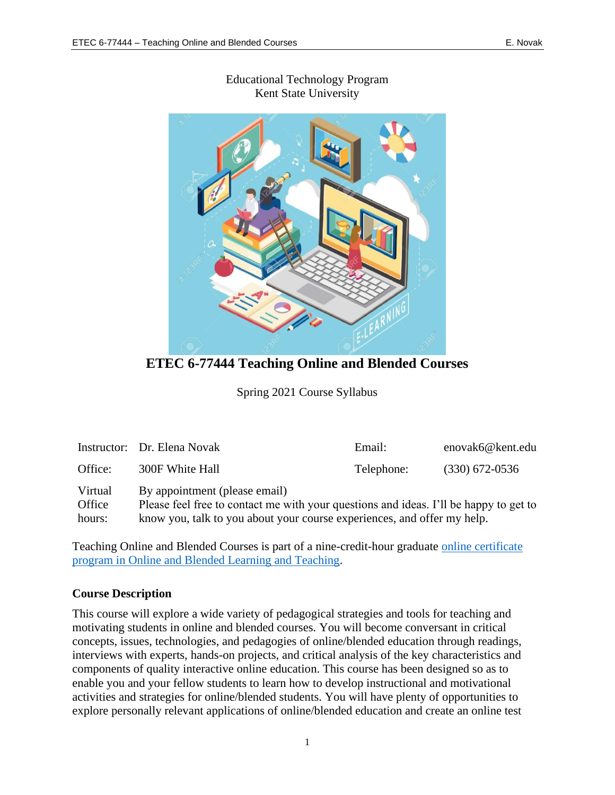

## Educational Technology Program Kent State University

**ETEC 6-77444 Teaching Online and Blended Courses**

Spring 2021 Course Syllabus

|                   | Instructor: Dr. Elena Novak                                                                                            | Email:     | enovak6@kent.edu |  |
|-------------------|------------------------------------------------------------------------------------------------------------------------|------------|------------------|--|
| Office:           | 300F White Hall                                                                                                        | Telephone: | $(330)$ 672-0536 |  |
| Virtual<br>Office | By appointment (please email)<br>Please feel free to contact me with your questions and ideas. I'll be happy to get to |            |                  |  |
| hours:            | know you, talk to you about your course experiences, and offer my help.                                                |            |                  |  |

Teaching Online and Blended Courses is part of a nine-credit-hour graduate [online certificate](https://www.kent.edu/ehhs/tlcs/etec/online-and-blended-learning-and-teaching-certificate)  [program in Online and Blended Learning and Teaching.](https://www.kent.edu/ehhs/tlcs/etec/online-and-blended-learning-and-teaching-certificate)

#### **Course Description**

This course will explore a wide variety of pedagogical strategies and tools for teaching and motivating students in online and blended courses. You will become conversant in critical concepts, issues, technologies, and pedagogies of online/blended education through readings, interviews with experts, hands-on projects, and critical analysis of the key characteristics and components of quality interactive online education. This course has been designed so as to enable you and your fellow students to learn how to develop instructional and motivational activities and strategies for online/blended students. You will have plenty of opportunities to explore personally relevant applications of online/blended education and create an online test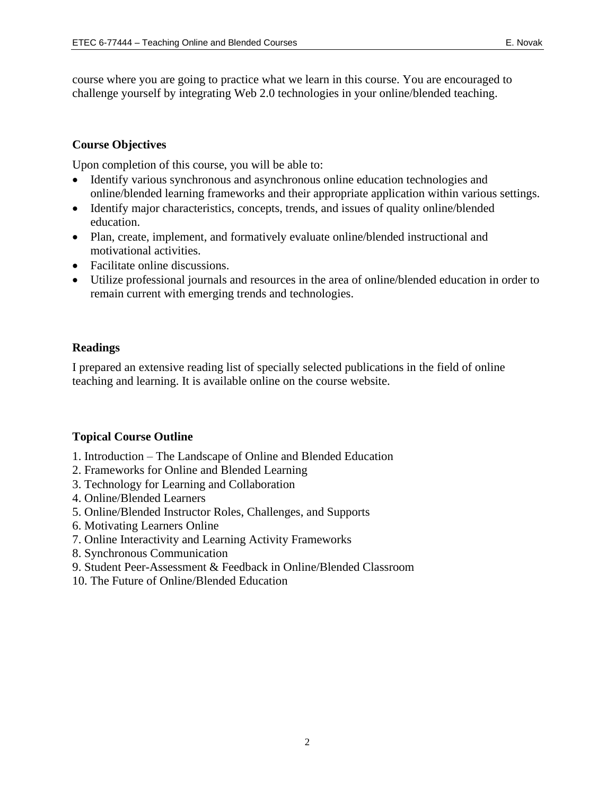course where you are going to practice what we learn in this course. You are encouraged to challenge yourself by integrating Web 2.0 technologies in your online/blended teaching.

## **Course Objectives**

Upon completion of this course, you will be able to:

- Identify various synchronous and asynchronous online education technologies and online/blended learning frameworks and their appropriate application within various settings.
- Identify major characteristics, concepts, trends, and issues of quality online/blended education.
- Plan, create, implement, and formatively evaluate online/blended instructional and motivational activities.
- Facilitate online discussions.
- Utilize professional journals and resources in the area of online/blended education in order to remain current with emerging trends and technologies.

## **Readings**

I prepared an extensive reading list of specially selected publications in the field of online teaching and learning. It is available online on the course website.

## **Topical Course Outline**

- 1. Introduction The Landscape of Online and Blended Education
- 2. Frameworks for Online and Blended Learning
- 3. Technology for Learning and Collaboration
- 4. Online/Blended Learners
- 5. Online/Blended Instructor Roles, Challenges, and Supports
- 6. Motivating Learners Online
- 7. Online Interactivity and Learning Activity Frameworks
- 8. Synchronous Communication
- 9. Student Peer-Assessment & Feedback in Online/Blended Classroom
- 10. The Future of Online/Blended Education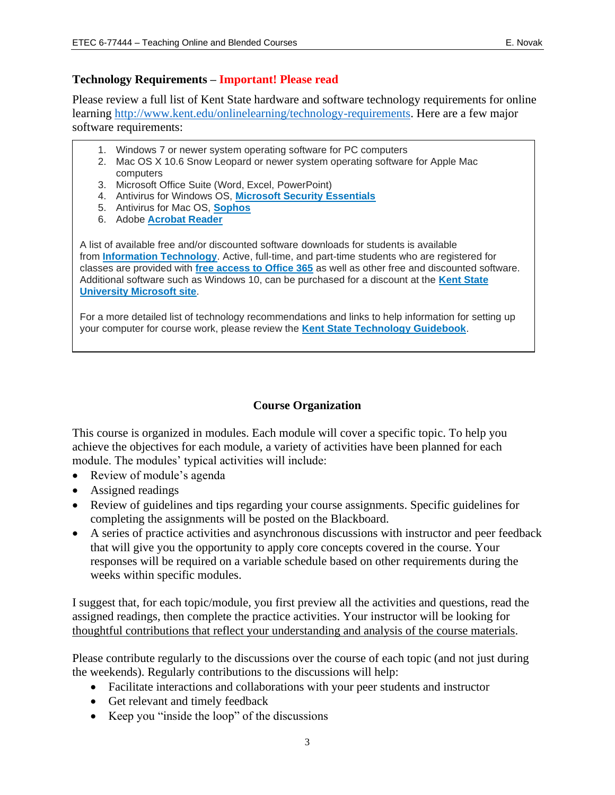## **Technology Requirements – Important! Please read**

Please review a full list of Kent State hardware and software technology requirements for online learning [http://www.kent.edu/onlinelearning/technology-requirements.](http://www.kent.edu/onlinelearning/technology-requirements) Here are a few major software requirements:

- 1. Windows 7 or newer system operating software for PC computers
- 2. Mac OS X 10.6 Snow Leopard or newer system operating software for Apple Mac computers
- 3. Microsoft Office Suite (Word, Excel, PowerPoint)
- 4. Antivirus for Windows OS, **[Microsoft Security Essentials](http://windows.microsoft.com/en-us/windows/security-essentials-download)**
- 5. Antivirus for Mac OS, **[Sophos](https://www.sophos.com/en-us/products/free-tools/sophos-antivirus-for-mac-home-edition.aspx)**
- 6. Adobe **[Acrobat Reader](https://get.adobe.com/reader/)**

A list of available free and/or discounted software downloads for students is available from **[Information Technology](https://www.kent.edu/it)**. Active, full-time, and part-time students who are registered for classes are provided with **[free access to Office 365](https://apps.kent.edu/SoftwareCatalog/Start.aspx)** as well as other free and discounted software. Additional software such as Windows 10, can be purchased for a discount at the **[Kent State](https://kent.onthehub.com/WebStore/ProductsByMajorVersionList.aspx?vsro=8)  [University Microsoft site](https://kent.onthehub.com/WebStore/ProductsByMajorVersionList.aspx?vsro=8)**.

For a more detailed list of technology recommendations and links to help information for setting up your computer for course work, please review the **[Kent State Technology Guidebook](https://www.kent.edu/it/guidebook)**.

## **Course Organization**

This course is organized in modules. Each module will cover a specific topic. To help you achieve the objectives for each module, a variety of activities have been planned for each module. The modules' typical activities will include:

- Review of module's agenda
- Assigned readings
- Review of guidelines and tips regarding your course assignments. Specific guidelines for completing the assignments will be posted on the Blackboard.
- A series of practice activities and asynchronous discussions with instructor and peer feedback that will give you the opportunity to apply core concepts covered in the course. Your responses will be required on a variable schedule based on other requirements during the weeks within specific modules.

I suggest that, for each topic/module, you first preview all the activities and questions, read the assigned readings, then complete the practice activities. Your instructor will be looking for thoughtful contributions that reflect your understanding and analysis of the course materials.

Please contribute regularly to the discussions over the course of each topic (and not just during the weekends). Regularly contributions to the discussions will help:

- Facilitate interactions and collaborations with your peer students and instructor
- Get relevant and timely feedback
- Keep you "inside the loop" of the discussions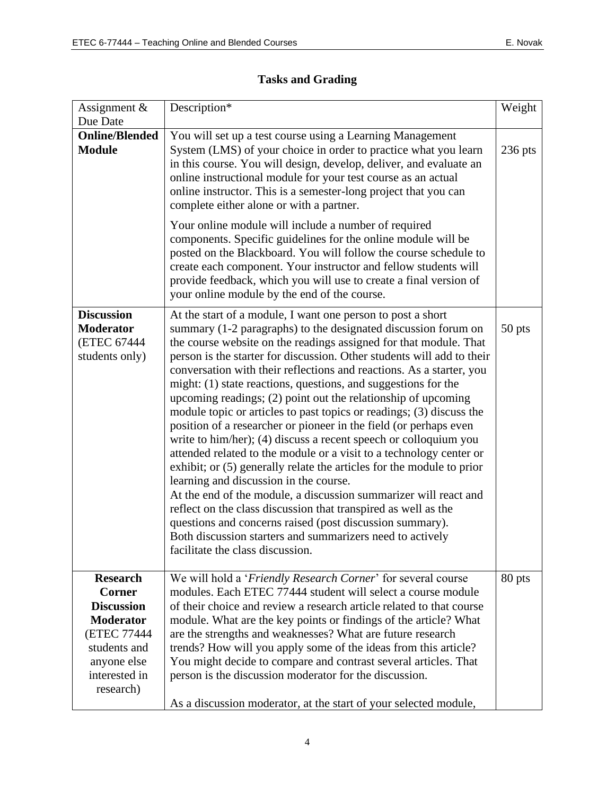| Assignment $\&$<br>Due Date                                                                                                                           | Description*                                                                                                                                                                                                                                                                                                                                                                                                                                                                                                                                                                                                                                                                                                                                                                                                                                                                                                                                                                                                                                                                                                                                                                                          | Weight    |
|-------------------------------------------------------------------------------------------------------------------------------------------------------|-------------------------------------------------------------------------------------------------------------------------------------------------------------------------------------------------------------------------------------------------------------------------------------------------------------------------------------------------------------------------------------------------------------------------------------------------------------------------------------------------------------------------------------------------------------------------------------------------------------------------------------------------------------------------------------------------------------------------------------------------------------------------------------------------------------------------------------------------------------------------------------------------------------------------------------------------------------------------------------------------------------------------------------------------------------------------------------------------------------------------------------------------------------------------------------------------------|-----------|
| <b>Online/Blended</b><br><b>Module</b>                                                                                                                | You will set up a test course using a Learning Management<br>System (LMS) of your choice in order to practice what you learn<br>in this course. You will design, develop, deliver, and evaluate an<br>online instructional module for your test course as an actual<br>online instructor. This is a semester-long project that you can<br>complete either alone or with a partner.<br>Your online module will include a number of required<br>components. Specific guidelines for the online module will be<br>posted on the Blackboard. You will follow the course schedule to<br>create each component. Your instructor and fellow students will<br>provide feedback, which you will use to create a final version of<br>your online module by the end of the course.                                                                                                                                                                                                                                                                                                                                                                                                                               | $236$ pts |
| <b>Discussion</b><br><b>Moderator</b><br>(ETEC 67444<br>students only)                                                                                | At the start of a module, I want one person to post a short<br>summary (1-2 paragraphs) to the designated discussion forum on<br>the course website on the readings assigned for that module. That<br>person is the starter for discussion. Other students will add to their<br>conversation with their reflections and reactions. As a starter, you<br>might: (1) state reactions, questions, and suggestions for the<br>upcoming readings; (2) point out the relationship of upcoming<br>module topic or articles to past topics or readings; (3) discuss the<br>position of a researcher or pioneer in the field (or perhaps even<br>write to him/her); (4) discuss a recent speech or colloquium you<br>attended related to the module or a visit to a technology center or<br>exhibit; or (5) generally relate the articles for the module to prior<br>learning and discussion in the course.<br>At the end of the module, a discussion summarizer will react and<br>reflect on the class discussion that transpired as well as the<br>questions and concerns raised (post discussion summary).<br>Both discussion starters and summarizers need to actively<br>facilitate the class discussion. | 50 pts    |
| <b>Research</b><br><b>Corner</b><br><b>Discussion</b><br><b>Moderator</b><br>(ETEC 77444<br>students and<br>anyone else<br>interested in<br>research) | We will hold a 'Friendly Research Corner' for several course<br>modules. Each ETEC 77444 student will select a course module<br>of their choice and review a research article related to that course<br>module. What are the key points or findings of the article? What<br>are the strengths and weaknesses? What are future research<br>trends? How will you apply some of the ideas from this article?<br>You might decide to compare and contrast several articles. That<br>person is the discussion moderator for the discussion.<br>As a discussion moderator, at the start of your selected module,                                                                                                                                                                                                                                                                                                                                                                                                                                                                                                                                                                                            | 80 pts    |

# **Tasks and Grading**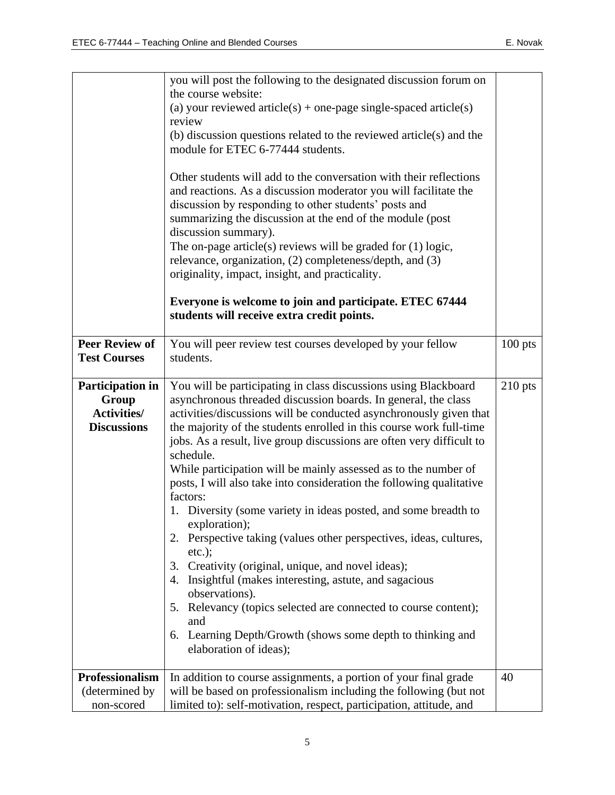|                       | you will post the following to the designated discussion forum on                                                                                                                                                                                                                                                                                                                                                                                                                                                                |           |
|-----------------------|----------------------------------------------------------------------------------------------------------------------------------------------------------------------------------------------------------------------------------------------------------------------------------------------------------------------------------------------------------------------------------------------------------------------------------------------------------------------------------------------------------------------------------|-----------|
|                       | the course website:<br>(a) your reviewed article(s) + one-page single-spaced article(s)                                                                                                                                                                                                                                                                                                                                                                                                                                          |           |
|                       | review                                                                                                                                                                                                                                                                                                                                                                                                                                                                                                                           |           |
|                       | (b) discussion questions related to the reviewed article(s) and the                                                                                                                                                                                                                                                                                                                                                                                                                                                              |           |
|                       | module for ETEC 6-77444 students.                                                                                                                                                                                                                                                                                                                                                                                                                                                                                                |           |
|                       | Other students will add to the conversation with their reflections<br>and reactions. As a discussion moderator you will facilitate the<br>discussion by responding to other students' posts and<br>summarizing the discussion at the end of the module (post<br>discussion summary).<br>The on-page article(s) reviews will be graded for $(1)$ logic,<br>relevance, organization, (2) completeness/depth, and (3)<br>originality, impact, insight, and practicality.<br>Everyone is welcome to join and participate. ETEC 67444 |           |
|                       | students will receive extra credit points.                                                                                                                                                                                                                                                                                                                                                                                                                                                                                       |           |
| <b>Peer Review of</b> |                                                                                                                                                                                                                                                                                                                                                                                                                                                                                                                                  |           |
| <b>Test Courses</b>   | You will peer review test courses developed by your fellow<br>students.                                                                                                                                                                                                                                                                                                                                                                                                                                                          | 100 pts   |
|                       |                                                                                                                                                                                                                                                                                                                                                                                                                                                                                                                                  |           |
| Participation in      | You will be participating in class discussions using Blackboard                                                                                                                                                                                                                                                                                                                                                                                                                                                                  | $210$ pts |
| Group                 | asynchronous threaded discussion boards. In general, the class                                                                                                                                                                                                                                                                                                                                                                                                                                                                   |           |
| <b>Activities/</b>    | activities/discussions will be conducted asynchronously given that                                                                                                                                                                                                                                                                                                                                                                                                                                                               |           |
| <b>Discussions</b>    | the majority of the students enrolled in this course work full-time                                                                                                                                                                                                                                                                                                                                                                                                                                                              |           |
|                       | jobs. As a result, live group discussions are often very difficult to<br>schedule.                                                                                                                                                                                                                                                                                                                                                                                                                                               |           |
|                       | While participation will be mainly assessed as to the number of                                                                                                                                                                                                                                                                                                                                                                                                                                                                  |           |
|                       | posts, I will also take into consideration the following qualitative                                                                                                                                                                                                                                                                                                                                                                                                                                                             |           |
|                       | factors:                                                                                                                                                                                                                                                                                                                                                                                                                                                                                                                         |           |
|                       | 1. Diversity (some variety in ideas posted, and some breadth to                                                                                                                                                                                                                                                                                                                                                                                                                                                                  |           |
|                       | exploration);                                                                                                                                                                                                                                                                                                                                                                                                                                                                                                                    |           |
|                       | Perspective taking (values other perspectives, ideas, cultures,<br>$etc.$ );                                                                                                                                                                                                                                                                                                                                                                                                                                                     |           |
|                       | Creativity (original, unique, and novel ideas);<br>3.                                                                                                                                                                                                                                                                                                                                                                                                                                                                            |           |
|                       | Insightful (makes interesting, astute, and sagacious<br>4.                                                                                                                                                                                                                                                                                                                                                                                                                                                                       |           |
|                       | observations).                                                                                                                                                                                                                                                                                                                                                                                                                                                                                                                   |           |
|                       | Relevancy (topics selected are connected to course content);<br>5.                                                                                                                                                                                                                                                                                                                                                                                                                                                               |           |
|                       | and                                                                                                                                                                                                                                                                                                                                                                                                                                                                                                                              |           |
|                       | Learning Depth/Growth (shows some depth to thinking and<br>6.                                                                                                                                                                                                                                                                                                                                                                                                                                                                    |           |
|                       | elaboration of ideas);                                                                                                                                                                                                                                                                                                                                                                                                                                                                                                           |           |
| Professionalism       | In addition to course assignments, a portion of your final grade                                                                                                                                                                                                                                                                                                                                                                                                                                                                 | 40        |
| (determined by        | will be based on professionalism including the following (but not                                                                                                                                                                                                                                                                                                                                                                                                                                                                |           |
| non-scored            | limited to): self-motivation, respect, participation, attitude, and                                                                                                                                                                                                                                                                                                                                                                                                                                                              |           |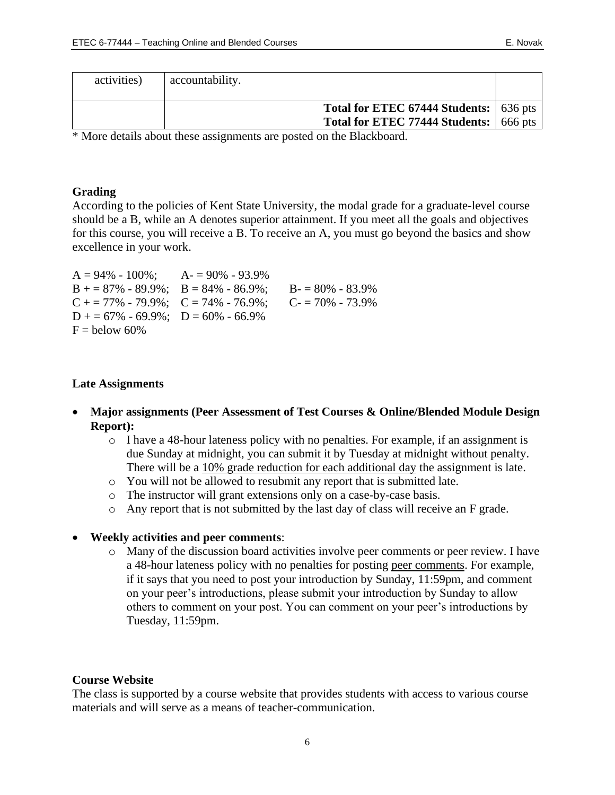| activities) | accountability.                               |  |
|-------------|-----------------------------------------------|--|
|             |                                               |  |
|             | <b>Total for ETEC 67444 Students:</b> 636 pts |  |
|             | Total for ETEC 77444 Students: 666 pts        |  |

\* More details about these assignments are posted on the Blackboard.

#### **Grading**

According to the policies of Kent State University, the modal grade for a graduate-level course should be a B, while an A denotes superior attainment. If you meet all the goals and objectives for this course, you will receive a B. To receive an A, you must go beyond the basics and show excellence in your work.

| $A = 94\% - 100\%;$ $A = 90\% - 93.9\%$ |                     |
|-----------------------------------------|---------------------|
| $B = 87\% - 89.9\%; B = 84\% - 86.9\%;$ | $B = 80\% - 83.9\%$ |
| $C + 77\% - 79.9\%; C = 74\% - 76.9\%;$ | $C = 70\% - 73.9\%$ |
| $D$ + = 67% - 69.9%; $D$ = 60% - 66.9%  |                     |
| $F =$ below 60%                         |                     |

#### **Late Assignments**

- **Major assignments (Peer Assessment of Test Courses & Online/Blended Module Design Report):** 
	- $\circ$  I have a 48-hour lateness policy with no penalties. For example, if an assignment is due Sunday at midnight, you can submit it by Tuesday at midnight without penalty. There will be a 10% grade reduction for each additional day the assignment is late.
	- o You will not be allowed to resubmit any report that is submitted late.
	- o The instructor will grant extensions only on a case-by-case basis.
	- o Any report that is not submitted by the last day of class will receive an F grade.

#### • **Weekly activities and peer comments**:

o Many of the discussion board activities involve peer comments or peer review. I have a 48-hour lateness policy with no penalties for posting peer comments. For example, if it says that you need to post your introduction by Sunday, 11:59pm, and comment on your peer's introductions, please submit your introduction by Sunday to allow others to comment on your post. You can comment on your peer's introductions by Tuesday, 11:59pm.

#### **Course Website**

The class is supported by a course website that provides students with access to various course materials and will serve as a means of teacher-communication.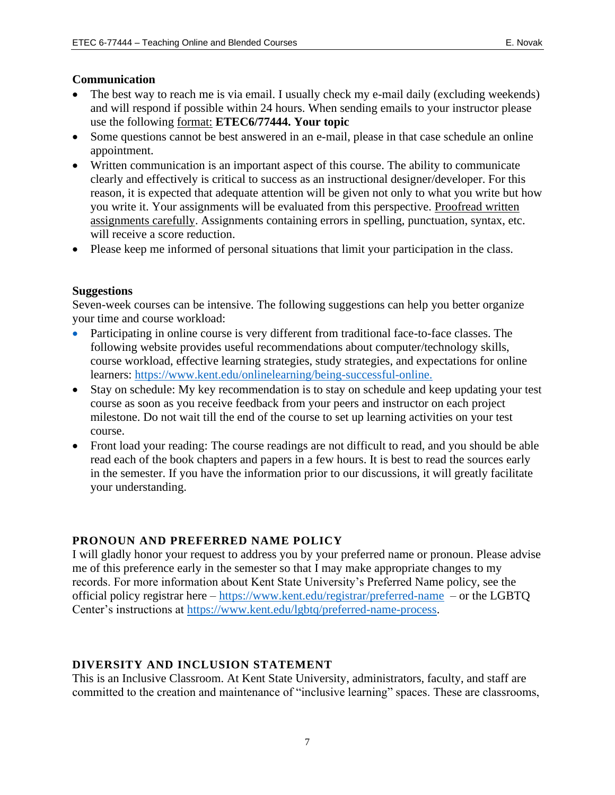#### **Communication**

- The best way to reach me is via email. I usually check my e-mail daily (excluding weekends) and will respond if possible within 24 hours. When sending emails to your instructor please use the following format: **ETEC6/77444. Your topic**
- Some questions cannot be best answered in an e-mail, please in that case schedule an online appointment.
- Written communication is an important aspect of this course. The ability to communicate clearly and effectively is critical to success as an instructional designer/developer. For this reason, it is expected that adequate attention will be given not only to what you write but how you write it. Your assignments will be evaluated from this perspective. Proofread written assignments carefully. Assignments containing errors in spelling, punctuation, syntax, etc. will receive a score reduction.
- Please keep me informed of personal situations that limit your participation in the class.

#### **Suggestions**

Seven-week courses can be intensive. The following suggestions can help you better organize your time and course workload:

- Participating in online course is very different from traditional face-to-face classes. The following website provides useful recommendations about computer/technology skills, course workload, effective learning strategies, study strategies, and expectations for online learners: [https://www.kent.edu/onlinelearning/being-successful-online.](https://www.kent.edu/onlinelearning/being-successful-online)
- Stay on schedule: My key recommendation is to stay on schedule and keep updating your test course as soon as you receive feedback from your peers and instructor on each project milestone. Do not wait till the end of the course to set up learning activities on your test course.
- Front load your reading: The course readings are not difficult to read, and you should be able read each of the book chapters and papers in a few hours. It is best to read the sources early in the semester. If you have the information prior to our discussions, it will greatly facilitate your understanding.

## **PRONOUN AND PREFERRED NAME POLICY**

I will gladly honor your request to address you by your preferred name or pronoun. Please advise me of this preference early in the semester so that I may make appropriate changes to my records. For more information about Kent State University's Preferred Name policy, see the official policy registrar here – <https://www.kent.edu/registrar/preferred-name>– or the LGBTQ Center's instructions at [https://www.kent.edu/lgbtq/preferred-name-process.](https://www.kent.edu/lgbtq/preferred-name-process)

## **DIVERSITY AND INCLUSION STATEMENT**

This is an Inclusive Classroom. At Kent State University, administrators, faculty, and staff are committed to the creation and maintenance of "inclusive learning" spaces. These are classrooms,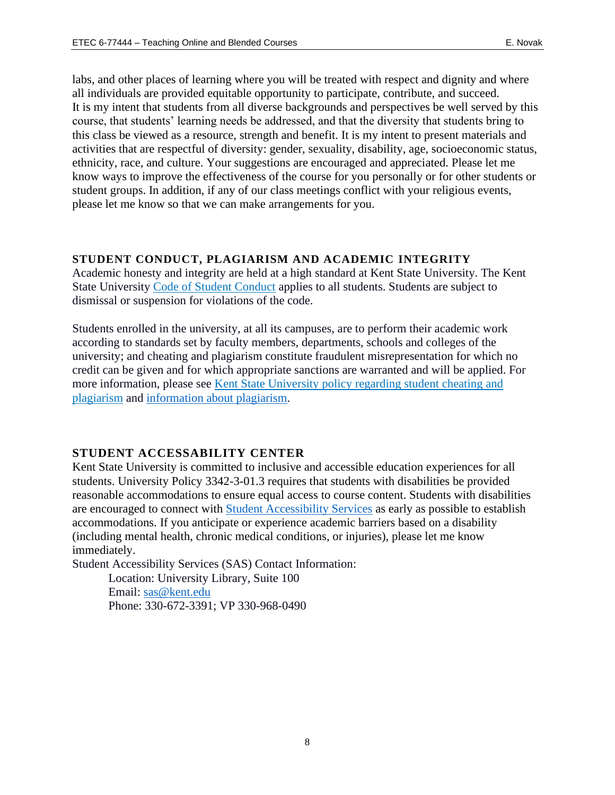labs, and other places of learning where you will be treated with respect and dignity and where all individuals are provided equitable opportunity to participate, contribute, and succeed. It is my intent that students from all diverse backgrounds and perspectives be well served by this course, that students' learning needs be addressed, and that the diversity that students bring to this class be viewed as a resource, strength and benefit. It is my intent to present materials and activities that are respectful of diversity: gender, sexuality, disability, age, socioeconomic status, ethnicity, race, and culture. Your suggestions are encouraged and appreciated. Please let me know ways to improve the effectiveness of the course for you personally or for other students or student groups. In addition, if any of our class meetings conflict with your religious events, please let me know so that we can make arrangements for you.

## **STUDENT CONDUCT, PLAGIARISM AND ACADEMIC INTEGRITY**

Academic honesty and integrity are held at a high standard at Kent State University. The Kent State University [Code of Student Conduct](https://www.kent.edu/studentconduct/code-student-conduct) applies to all students. Students are subject to dismissal or suspension for violations of the code.

Students enrolled in the university, at all its campuses, are to perform their academic work according to standards set by faculty members, departments, schools and colleges of the university; and cheating and plagiarism constitute fraudulent misrepresentation for which no credit can be given and for which appropriate sanctions are warranted and will be applied. For more information, please see [Kent State University policy regarding student cheating and](https://www.kent.edu/policyreg/administrative-policy-regarding-student-cheating-and-plagiarism)  [plagiarism](https://www.kent.edu/policyreg/administrative-policy-regarding-student-cheating-and-plagiarism) and [information about plagiarism.](https://www.kent.edu/plagiarism/information-students)

## **STUDENT ACCESSABILITY CENTER**

Kent State University is committed to inclusive and accessible education experiences for all students. University Policy 3342-3-01.3 requires that students with disabilities be provided reasonable accommodations to ensure equal access to course content. Students with disabilities are encouraged to connect with **Student Accessibility Services** as early as possible to establish accommodations. If you anticipate or experience academic barriers based on a disability (including mental health, chronic medical conditions, or injuries), please let me know immediately.

Student Accessibility Services (SAS) Contact Information:

Location: University Library, Suite 100 Email: [sas@kent.edu](mailto:sas@kent.edu)  Phone: 330-672-3391; VP 330-968-0490